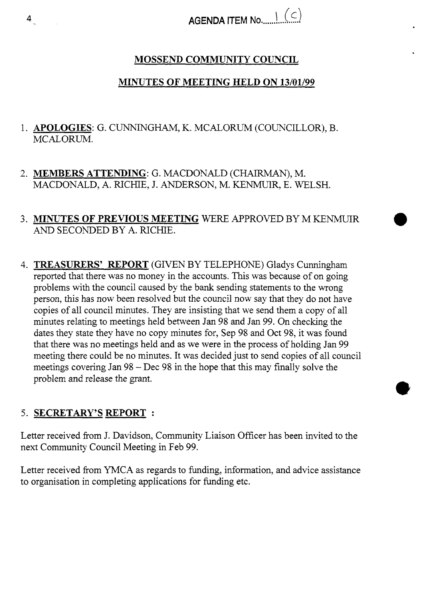## **MOSSEND COMMUNITY COUNCIL**

## **MINUTES OF MEETING HELD ON 13/01/99**

- 1. **APOLOGIES:** G. CUNNINGHAM, K. MCALORUM (COUNCILLOR), B. MCALORUM.
- 2. **MEMBERS ATTENDING:** G. MACDONALD (CHAIRMAN), M. MACDONALD, **A.** RICHIE, J. ANDERSON, M. KENMUIR, E. WELSH.
- **3. MINUTES OF PREVIOUS MEETING** WERE APPROVED BY M KENMUIR *AND* SECONDED BY **A.** RICHIE.
- 4. **TREASURERS' REPORT** (GIVEN BY TELEPHONE) Gladys Cunningham reported that there was no money in the accounts. This was because of on going problems with the council caused by the bank sending statements to the wrong person, this has now been resolved but the council now say that they do not have copies of all council minutes. They are insisting that we send them a copy of all minutes relating to meetings held between Jan 98 and Jan 99. On checking the dates they state they have no copy minutes for, Sep 98 and Oct 98, it was found that there was no meetings held and as we were in the process of holding Jan 99 meeting there could be no minutes. It was decided just to send copies of all council meetings covering Jan 98 - Dec 98 in the hope that this may finally solve the problem and release the grant.

## *5.*  **SECRETARY'S REPORT** :

Letter received from J. Davidson, Community Liaison Officer has been invited to the next Community Council Meeting in Feb 99.

Letter received from YMCA as regards to funding, information, and advice assistance to organisation in completing applications for funding etc.